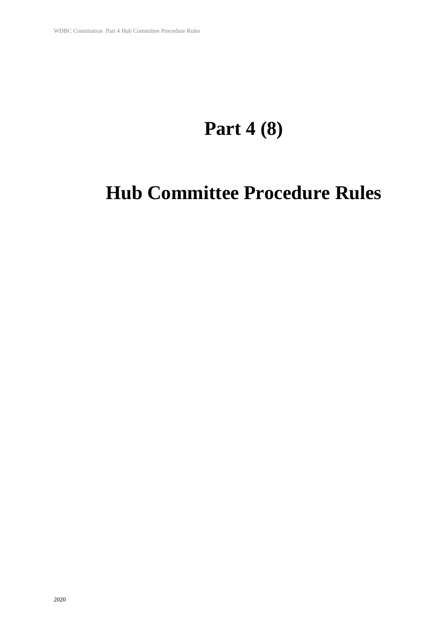# **Part 4 (8)**

# **Hub Committee Procedure Rules**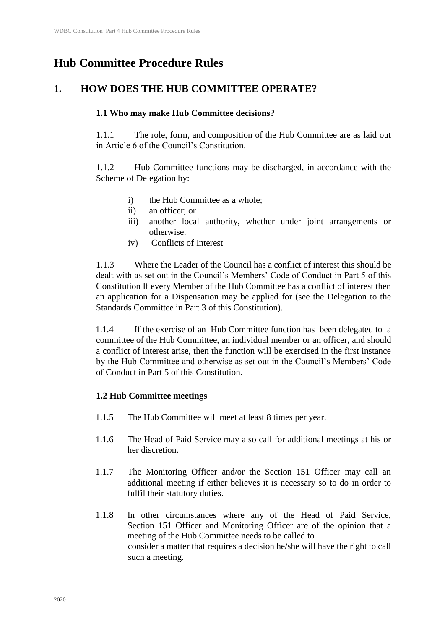# **Hub Committee Procedure Rules**

# **1. HOW DOES THE HUB COMMITTEE OPERATE?**

# **1.1 Who may make Hub Committee decisions?**

1.1.1 The role, form, and composition of the Hub Committee are as laid out in Article 6 of the Council's Constitution.

1.1.2 Hub Committee functions may be discharged, in accordance with the Scheme of Delegation by:

- i) the Hub Committee as a whole;
- ii) an officer; or
- iii) another local authority, whether under joint arrangements or otherwise.
- iv) Conflicts of Interest

1.1.3 Where the Leader of the Council has a conflict of interest this should be dealt with as set out in the Council's Members' Code of Conduct in Part 5 of this Constitution If every Member of the Hub Committee has a conflict of interest then an application for a Dispensation may be applied for (see the Delegation to the Standards Committee in Part 3 of this Constitution).

1.1.4 If the exercise of an Hub Committee function has been delegated to a committee of the Hub Committee, an individual member or an officer, and should a conflict of interest arise, then the function will be exercised in the first instance by the Hub Committee and otherwise as set out in the Council's Members' Code of Conduct in Part 5 of this Constitution.

# **1.2 Hub Committee meetings**

- 1.1.5 The Hub Committee will meet at least 8 times per year.
- 1.1.6 The Head of Paid Service may also call for additional meetings at his or her discretion.
- 1.1.7 The Monitoring Officer and/or the Section 151 Officer may call an additional meeting if either believes it is necessary so to do in order to fulfil their statutory duties.
- 1.1.8 In other circumstances where any of the Head of Paid Service, Section 151 Officer and Monitoring Officer are of the opinion that a meeting of the Hub Committee needs to be called to consider a matter that requires a decision he/she will have the right to call such a meeting.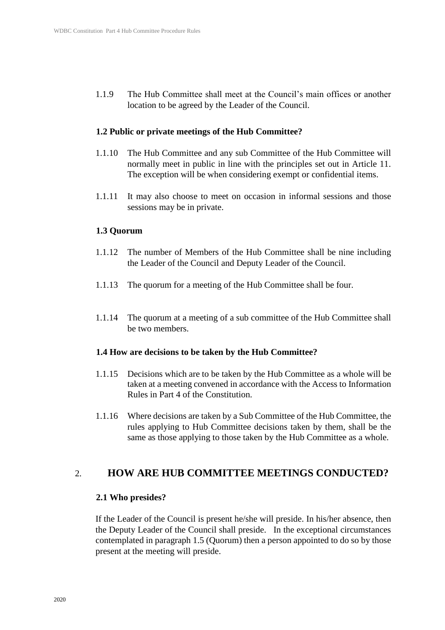1.1.9 The Hub Committee shall meet at the Council's main offices or another location to be agreed by the Leader of the Council.

#### **1.2 Public or private meetings of the Hub Committee?**

- 1.1.10 The Hub Committee and any sub Committee of the Hub Committee will normally meet in public in line with the principles set out in Article 11. The exception will be when considering exempt or confidential items.
- 1.1.11 It may also choose to meet on occasion in informal sessions and those sessions may be in private.

#### **1.3 Quorum**

- 1.1.12 The number of Members of the Hub Committee shall be nine including the Leader of the Council and Deputy Leader of the Council.
- 1.1.13 The quorum for a meeting of the Hub Committee shall be four.
- 1.1.14 The quorum at a meeting of a sub committee of the Hub Committee shall be two members.

#### **1.4 How are decisions to be taken by the Hub Committee?**

- 1.1.15 Decisions which are to be taken by the Hub Committee as a whole will be taken at a meeting convened in accordance with the Access to Information Rules in Part 4 of the Constitution.
- 1.1.16 Where decisions are taken by a Sub Committee of the Hub Committee, the rules applying to Hub Committee decisions taken by them, shall be the same as those applying to those taken by the Hub Committee as a whole.

## 2. **HOW ARE HUB COMMITTEE MEETINGS CONDUCTED?**

#### **2.1 Who presides?**

If the Leader of the Council is present he/she will preside. In his/her absence, then the Deputy Leader of the Council shall preside. In the exceptional circumstances contemplated in paragraph 1.5 (Quorum) then a person appointed to do so by those present at the meeting will preside.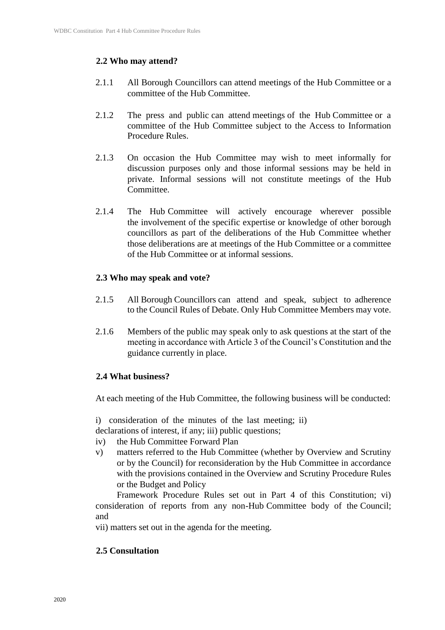## **2.2 Who may attend?**

- 2.1.1 All Borough Councillors can attend meetings of the Hub Committee or a committee of the Hub Committee.
- 2.1.2 The press and public can attend meetings of the Hub Committee or a committee of the Hub Committee subject to the Access to Information Procedure Rules.
- 2.1.3 On occasion the Hub Committee may wish to meet informally for discussion purposes only and those informal sessions may be held in private. Informal sessions will not constitute meetings of the Hub Committee.
- 2.1.4 The Hub Committee will actively encourage wherever possible the involvement of the specific expertise or knowledge of other borough councillors as part of the deliberations of the Hub Committee whether those deliberations are at meetings of the Hub Committee or a committee of the Hub Committee or at informal sessions.

#### **2.3 Who may speak and vote?**

- 2.1.5 All Borough Councillors can attend and speak, subject to adherence to the Council Rules of Debate. Only Hub Committee Members may vote.
- 2.1.6 Members of the public may speak only to ask questions at the start of the meeting in accordance with Article 3 of the Council's Constitution and the guidance currently in place.

#### **2.4 What business?**

At each meeting of the Hub Committee, the following business will be conducted:

i) consideration of the minutes of the last meeting; ii)

- declarations of interest, if any; iii) public questions;
- iv) the Hub Committee Forward Plan
- v) matters referred to the Hub Committee (whether by Overview and Scrutiny or by the Council) for reconsideration by the Hub Committee in accordance with the provisions contained in the Overview and Scrutiny Procedure Rules or the Budget and Policy

Framework Procedure Rules set out in Part 4 of this Constitution; vi) consideration of reports from any non-Hub Committee body of the Council; and

vii) matters set out in the agenda for the meeting.

## **2.5 Consultation**